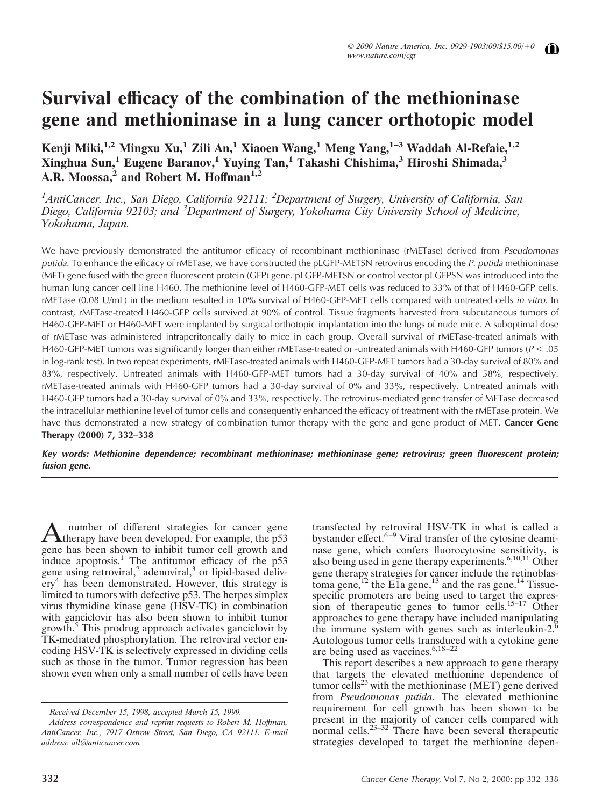# **Survival efficacy of the combination of the methioninase gene and methioninase in a lung cancer orthotopic model**

**Kenji Miki,1,2 Mingxu Xu,<sup>1</sup> Zili An,<sup>1</sup> Xiaoen Wang,<sup>1</sup> Meng Yang,1–3 Waddah Al-Refaie,1,2 Xinghua Sun,<sup>1</sup> Eugene Baranov,<sup>1</sup> Yuying Tan,<sup>1</sup> Takashi Chishima,<sup>3</sup> Hiroshi Shimada,<sup>3</sup> A.R. Moossa,<sup>2</sup> and Robert M. Hoffman1,2**

*1 AntiCancer, Inc., San Diego, California 92111; <sup>2</sup> Department of Surgery, University of California, San Diego, California 92103; and <sup>3</sup> Department of Surgery, Yokohama City University School of Medicine, Yokohama, Japan.*

We have previously demonstrated the antitumor efficacy of recombinant methioninase (rMETase) derived from Pseudomonas putida. To enhance the efficacy of rMETase, we have constructed the pLGFP-METSN retrovirus encoding the P. putida methioninase (MET) gene fused with the green fluorescent protein (GFP) gene. pLGFP-METSN or control vector pLGFPSN was introduced into the human lung cancer cell line H460. The methionine level of H460-GFP-MET cells was reduced to 33% of that of H460-GFP cells. rMETase (0.08 U/mL) in the medium resulted in 10% survival of H460-GFP-MET cells compared with untreated cells in vitro. In contrast, rMETase-treated H460-GFP cells survived at 90% of control. Tissue fragments harvested from subcutaneous tumors of H460-GFP-MET or H460-MET were implanted by surgical orthotopic implantation into the lungs of nude mice. A suboptimal dose of rMETase was administered intraperitoneally daily to mice in each group. Overall survival of rMETase-treated animals with H460-GFP-MET tumors was significantly longer than either rMETase-treated or -untreated animals with H460-GFP tumors ( $P < .05$ ) in log-rank test). In two repeat experiments, rMETase-treated animals with H460-GFP-MET tumors had a 30-day survival of 80% and 83%, respectively. Untreated animals with H460-GFP-MET tumors had a 30-day survival of 40% and 58%, respectively. rMETase-treated animals with H460-GFP tumors had a 30-day survival of 0% and 33%, respectively. Untreated animals with H460-GFP tumors had a 30-day survival of 0% and 33%, respectively. The retrovirus-mediated gene transfer of METase decreased the intracellular methionine level of tumor cells and consequently enhanced the efficacy of treatment with the rMETase protein. We have thus demonstrated a new strategy of combination tumor therapy with the gene and gene product of MET. **Cancer Gene Therapy (2000) 7, 332–338**

Key words: Methionine dependence; recombinant methioninase; methioninase gene; retrovirus; green fluorescent protein; **fusion gene.**

A number of different strategies for cancer gene<br>therapy have been developed. For example, the p53 gene has been shown to inhibit tumor cell growth and induce apoptosis.<sup>1</sup> The antitumor efficacy of the  $p53$ gene using retroviral,<sup>2</sup> adenoviral,<sup>3</sup> or lipid-based deliv- $\text{er}y^4$  has been demonstrated. However, this strategy is limited to tumors with defective p53. The herpes simplex virus thymidine kinase gene (HSV-TK) in combination with ganciclovir has also been shown to inhibit tumor growth.<sup>5</sup> This prodrug approach activates ganciclovir by TK-mediated phosphorylation. The retroviral vector encoding HSV-TK is selectively expressed in dividing cells such as those in the tumor. Tumor regression has been shown even when only a small number of cells have been

*Received December 15, 1998; accepted March 15, 1999.*

*Address correspondence and reprint requests to Robert M. Hoffman, AntiCancer, Inc., 7917 Ostrow Street, San Diego, CA 92111. E-mail address: all@anticancer.com*

transfected by retroviral HSV-TK in what is called a bystander effect.<sup>6–9</sup> Viral transfer of the cytosine deaminase gene, which confers fluorocytosine sensitivity, is also being used in gene therapy experiments. $6,10,11$  Other gene therapy strategies for cancer include the retinoblastoma gene,<sup>12</sup> the E1a gene,<sup>13</sup> and the ras gene.<sup>14</sup> Tissuespecific promoters are being used to target the expression of therapeutic genes to tumor cells.<sup>15–17</sup> Other approaches to gene therapy have included manipulating the immune system with genes such as interleukin-2.<sup>6</sup> Autologous tumor cells transduced with a cytokine gene are being used as vaccines. $6,18-22$ 

This report describes a new approach to gene therapy that targets the elevated methionine dependence of tumor cells<sup>23</sup> with the methioninase (MET) gene derived from *Pseudomonas putida*. The elevated methionine requirement for cell growth has been shown to be present in the majority of cancer cells compared with normal cells.<sup>23–32</sup> There have been several therapeutic strategies developed to target the methionine depen-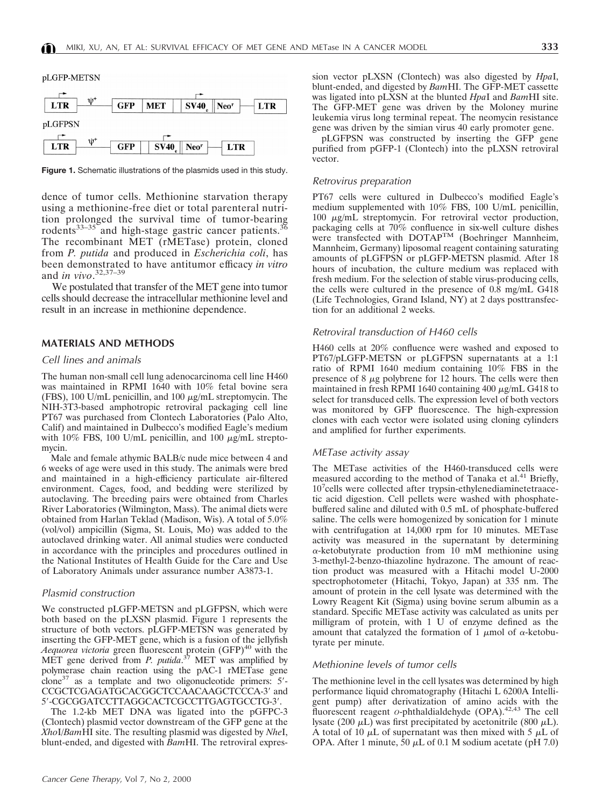

**Figure 1.** Schematic illustrations of the plasmids used in this study.

dence of tumor cells. Methionine starvation therapy using a methionine-free diet or total parenteral nutrition prolonged the survival time of tumor-bearing rodents<sup>33-35</sup> and high-stage gastric cancer patients.<sup>30</sup> The recombinant MET (rMETase) protein, cloned from *P. putida* and produced in *Escherichia coli*, has been demonstrated to have antitumor efficacy *in vitro* and *in vivo*. 32,37–39

We postulated that transfer of the MET gene into tumor cells should decrease the intracellular methionine level and result in an increase in methionine dependence.

## **MATERIALS AND METHODS**

## Cell lines and animals

The human non-small cell lung adenocarcinoma cell line H460 was maintained in RPMI 1640 with 10% fetal bovine sera (FBS), 100 U/mL penicillin, and 100  $\mu$ g/mL streptomycin. The NIH-3T3-based amphotropic retroviral packaging cell line PT67 was purchased from Clontech Laboratories (Palo Alto, Calif) and maintained in Dulbecco's modified Eagle's medium with 10% FBS, 100 U/mL penicillin, and 100  $\mu$ g/mL streptomycin.

Male and female athymic BALB/c nude mice between 4 and 6 weeks of age were used in this study. The animals were bred and maintained in a high-efficiency particulate air-filtered environment. Cages, food, and bedding were sterilized by autoclaving. The breeding pairs were obtained from Charles River Laboratories (Wilmington, Mass). The animal diets were obtained from Harlan Teklad (Madison, Wis). A total of 5.0% (vol/vol) ampicillin (Sigma, St. Louis, Mo) was added to the autoclaved drinking water. All animal studies were conducted in accordance with the principles and procedures outlined in the National Institutes of Health Guide for the Care and Use of Laboratory Animals under assurance number A3873-1.

#### Plasmid construction

We constructed pLGFP-METSN and pLGFPSN, which were both based on the pLXSN plasmid. Figure 1 represents the structure of both vectors. pLGFP-METSN was generated by inserting the GFP-MET gene, which is a fusion of the jellyfish Aequorea victoria green fluorescent protein (GFP)<sup>40</sup> with the MET gene derived from *P. putida*. <sup>37</sup> MET was amplified by polymerase chain reaction using the pAC-1 rMETase gene  $\frac{1}{2}$ clone<sup>37</sup> as a template and two oligonucleotide primers: 5'-CCGCTCGAGATGCACGGCTCCAACAAGCTCCCA-3' and 5'-CGCGGATCCTTAGGCACTCGCCTTGAGTGCCTG-3'.

The 1.2-kb MET DNA was ligated into the pGFPC-3 (Clontech) plasmid vector downstream of the GFP gene at the *Xho*I/*Bam*HI site. The resulting plasmid was digested by *Nhe*I, blunt-ended, and digested with *Bam*HI. The retroviral expres-

Cancer Gene Therapy, Vol 7, No 2, 2000

sion vector pLXSN (Clontech) was also digested by *Hpa*I, blunt-ended, and digested by *Bam*HI. The GFP-MET cassette was ligated into pLXSN at the blunted *Hpa*I and *Bam*HI site. The GFP-MET gene was driven by the Moloney murine leukemia virus long terminal repeat. The neomycin resistance gene was driven by the simian virus 40 early promoter gene.

pLGFPSN was constructed by inserting the GFP gene purified from pGFP-1 (Clontech) into the pLXSN retroviral vector.

#### Retrovirus preparation

PT67 cells were cultured in Dulbecco's modified Eagle's medium supplemented with 10% FBS, 100 U/mL penicillin, 100 <sup>m</sup>g/mL streptomycin. For retroviral vector production, packaging cells at 70% confluence in six-well culture dishes were transfected with DOTAPTM (Boehringer Mannheim, Mannheim, Germany) liposomal reagent containing saturating amounts of pLGFPSN or pLGFP-METSN plasmid. After 18 hours of incubation, the culture medium was replaced with fresh medium. For the selection of stable virus-producing cells, the cells were cultured in the presence of 0.8 mg/mL G418 (Life Technologies, Grand Island, NY) at 2 days posttransfection for an additional 2 weeks.

### Retroviral transduction of H460 cells

H460 cells at 20% confluence were washed and exposed to PT67/pLGFP-METSN or pLGFPSN supernatants at a 1:1 ratio of RPMI 1640 medium containing 10% FBS in the presence of  $8 \mu g$  polybrene for 12 hours. The cells were then maintained in fresh RPMI 1640 containing 400  $\mu$ g/mL G418 to select for transduced cells. The expression level of both vectors was monitored by GFP fluorescence. The high-expression clones with each vector were isolated using cloning cylinders and amplified for further experiments.

#### METase activity assay

The METase activities of the H460-transduced cells were measured according to the method of Tanaka et al.<sup>41</sup> Briefly, 10<sup>7</sup> cells were collected after trypsin-ethylenediaminetetraacetic acid digestion. Cell pellets were washed with phosphatebuffered saline and diluted with 0.5 mL of phosphate-buffered saline. The cells were homogenized by sonication for 1 minute with centrifugation at 14,000 rpm for 10 minutes. METase activity was measured in the supernatant by determining  $\alpha$ -ketobutyrate production from 10 mM methionine using 3-methyl-2-benzo-thiazoline hydrazone. The amount of reaction product was measured with a Hitachi model U-2000 spectrophotometer (Hitachi, Tokyo, Japan) at 335 nm. The amount of protein in the cell lysate was determined with the Lowry Reagent Kit (Sigma) using bovine serum albumin as a standard. Specific METase activity was calculated as units per milligram of protein, with 1 U of enzyme defined as the amount that catalyzed the formation of 1  $\mu$ mol of  $\alpha$ -ketobutyrate per minute.

#### Methionine levels of tumor cells

The methionine level in the cell lysates was determined by high performance liquid chromatography (Hitachi L 6200A Intelligent pump) after derivatization of amino acids with the fluorescent reagent *o*-phthaldialdehyde (OPA).<sup>42,43</sup> The cell lysate (200  $\mu$ L) was first precipitated by acetonitrile (800  $\mu$ L). A total of 10  $\mu$ L of supernatant was then mixed with 5  $\mu$ L of OPA. After 1 minute, 50  $\mu$ L of 0.1 M sodium acetate (pH 7.0)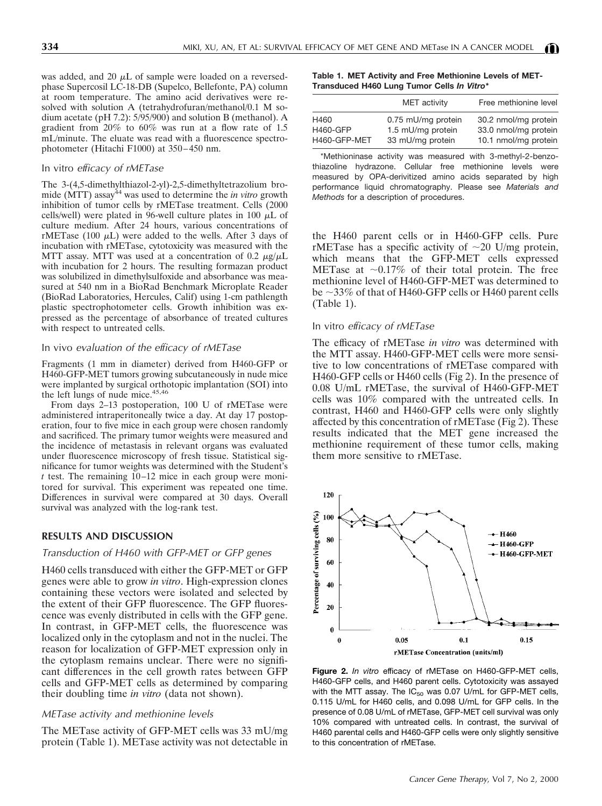was added, and 20  $\mu$ L of sample were loaded on a reversedphase Supercosil LC-18-DB (Supelco, Bellefonte, PA) column at room temperature. The amino acid derivatives were resolved with solution A (tetrahydrofuran/methanol/0.1 M sodium acetate (pH 7.2): 5/95/900) and solution B (methanol). A gradient from 20% to 60% was run at a flow rate of 1.5 mL/minute. The eluate was read with a fluorescence spectrophotometer (Hitachi F1000) at 350–450 nm.

#### In vitro efficacy of rMETase

The 3-(4,5-dimethylthiazol-2-yl)-2,5-dimethyltetrazolium bromide (MTT) assay<sup>44</sup> was used to determine the *in vitro* growth inhibition of tumor cells by rMETase treatment. Cells (2000 cells/well) were plated in 96-well culture plates in 100  $\mu$ L of culture medium. After 24 hours, various concentrations of rMETase (100  $\mu$ L) were added to the wells. After 3 days of incubation with rMETase, cytotoxicity was measured with the MTT assay. MTT was used at a concentration of 0.2  $\mu$ g/ $\mu$ L with incubation for 2 hours. The resulting formazan product was solubilized in dimethylsulfoxide and absorbance was measured at 540 nm in a BioRad Benchmark Microplate Reader (BioRad Laboratories, Hercules, Calif) using 1-cm pathlength plastic spectrophotometer cells. Growth inhibition was expressed as the percentage of absorbance of treated cultures with respect to untreated cells.

#### In vivo evaluation of the efficacy of rMETase

Fragments (1 mm in diameter) derived from H460-GFP or H460-GFP-MET tumors growing subcutaneously in nude mice were implanted by surgical orthotopic implantation (SOI) into the left lungs of nude mice.<sup>45,46</sup>

From days 2–13 postoperation, 100 U of rMETase were administered intraperitoneally twice a day. At day 17 postoperation, four to five mice in each group were chosen randomly and sacrificed. The primary tumor weights were measured and the incidence of metastasis in relevant organs was evaluated under fluorescence microscopy of fresh tissue. Statistical significance for tumor weights was determined with the Student's *t* test. The remaining 10–12 mice in each group were monitored for survival. This experiment was repeated one time. Differences in survival were compared at 30 days. Overall survival was analyzed with the log-rank test.

## **RESULTS AND DISCUSSION**

## Transduction of H460 with GFP-MET or GFP genes

H460 cells transduced with either the GFP-MET or GFP genes were able to grow *in vitro*. High-expression clones containing these vectors were isolated and selected by the extent of their GFP fluorescence. The GFP fluorescence was evenly distributed in cells with the GFP gene. In contrast, in GFP-MET cells, the fluorescence was localized only in the cytoplasm and not in the nuclei. The reason for localization of GFP-MET expression only in the cytoplasm remains unclear. There were no significant differences in the cell growth rates between GFP cells and GFP-MET cells as determined by comparing their doubling time *in vitro* (data not shown).

#### METase activity and methionine levels

The METase activity of GFP-MET cells was 33 mU/mg protein (Table 1). METase activity was not detectable in

**Table 1. MET Activity and Free Methionine Levels of MET-Transduced H460 Lung Tumor Cells** *In Vitro\**

|                 | MET activity       | Free methionine level |
|-----------------|--------------------|-----------------------|
| H460            | 0.75 mU/mg protein | 30.2 nmol/mg protein  |
| <b>H460-GFP</b> | 1.5 mU/mg protein  | 33.0 nmol/mg protein  |
| H460-GFP-MET    | 33 mU/mg protein   | 10.1 nmol/mg protein  |

\*Methioninase activity was measured with 3-methyl-2-benzothiazoline hydrazone. Cellular free methionine levels were measured by OPA-derivitized amino acids separated by high performance liquid chromatography. Please see *Materials and Methods* for a description of procedures.

the H460 parent cells or in H460-GFP cells. Pure rMETase has a specific activity of  $\sim$ 20 U/mg protein, which means that the GFP-MET cells expressed METase at  $\sim 0.17\%$  of their total protein. The free methionine level of H460-GFP-MET was determined to be  $\sim$ 33% of that of H460-GFP cells or H460 parent cells (Table 1).

## In vitro efficacy of rMETase

The efficacy of rMETase *in vitro* was determined with the MTT assay. H460-GFP-MET cells were more sensitive to low concentrations of rMETase compared with H460-GFP cells or H460 cells (Fig 2). In the presence of 0.08 U/mL rMETase, the survival of H460-GFP-MET cells was 10% compared with the untreated cells. In contrast, H460 and H460-GFP cells were only slightly affected by this concentration of rMETase (Fig 2). These results indicated that the MET gene increased the methionine requirement of these tumor cells, making them more sensitive to rMETase.



**Figure 2.** *In vitro* efficacy of rMETase on H460-GFP-MET cells, H460-GFP cells, and H460 parent cells. Cytotoxicity was assayed with the MTT assay. The  $IC_{50}$  was 0.07 U/mL for GFP-MET cells, 0.115 U/mL for H460 cells, and 0.098 U/mL for GFP cells. In the presence of 0.08 U/mL of rMETase, GFP-MET cell survival was only 10% compared with untreated cells. In contrast, the survival of H460 parental cells and H460-GFP cells were only slightly sensitive to this concentration of rMETase.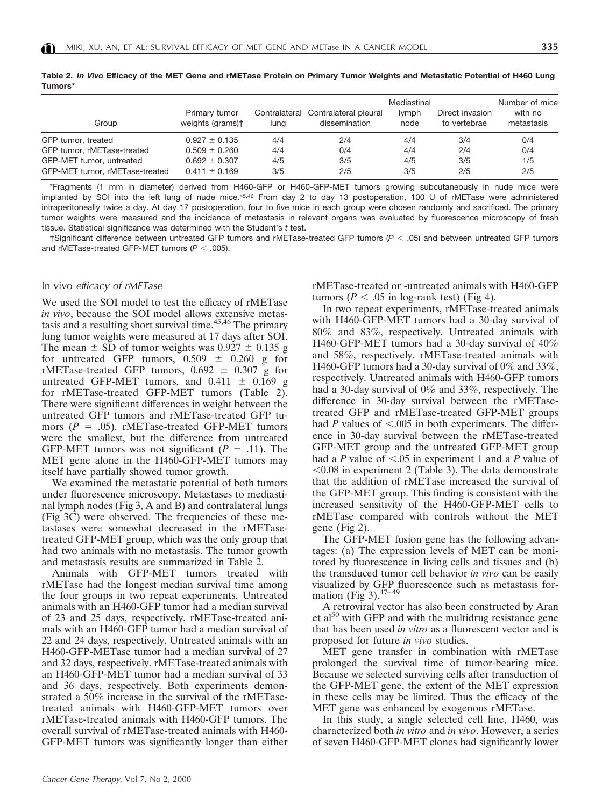| ۰,<br>w<br>۰. | ۰,<br>۰. | ۰,<br>×<br>٠ |
|---------------|----------|--------------|

| Group                                                      | Primary tumor<br>weights (grams)+      | luna       | Contralateral Contralateral pleural<br>dissemination | Mediastinal<br>lymph<br>node | Direct invasion<br>to vertebrae | Number of mice<br>with no<br>metastasis |
|------------------------------------------------------------|----------------------------------------|------------|------------------------------------------------------|------------------------------|---------------------------------|-----------------------------------------|
| GFP tumor, treated                                         | $0.927 \pm 0.135$                      | 4/4        | 2/4                                                  | 4/4                          | 3/4                             | 0/4                                     |
| GFP tumor, rMETase-treated                                 | $0.509 \pm 0.260$                      | 4/4        | 0/4                                                  | 4/4                          | 2/4                             | 0/4                                     |
| GFP-MET tumor, untreated<br>GFP-MET tumor, rMETase-treated | $0.692 \pm 0.307$<br>$0.411 \pm 0.169$ | 4/5<br>3/5 | 3/5<br>2/5                                           | 4/5<br>3/5                   | 3/5<br>2/5                      | 1/5<br>2/5                              |

**Table 2.** *In Vivo* **Efficacy of the MET Gene and rMETase Protein on Primary Tumor Weights and Metastatic Potential of H460 Lung Tumors\***

\*Fragments (1 mm in diameter) derived from H460-GFP or H460-GFP-MET tumors growing subcutaneously in nude mice were implanted by SOI into the left lung of nude mice.45,46 From day 2 to day 13 postoperation, 100 U of rMETase were administered intraperitoneally twice a day. At day 17 postoperation, four to five mice in each group were chosen randomly and sacrificed. The primary tumor weights were measured and the incidence of metastasis in relevant organs was evaluated by fluorescence microscopy of fresh tissue. Statistical significance was determined with the Student's *t* test.

 $\dagger$ Significant difference between untreated GFP tumors and rMETase-treated GFP tumors ( $P < .05$ ) and between untreated GFP tumors and rMETase-treated GFP-MET tumors  $(P < .005)$ .

## In vivo efficacy of rMETase

We used the SOI model to test the efficacy of rMETase *in vivo*, because the SOI model allows extensive metastasis and a resulting short survival time.<sup>45,46</sup> The primary lung tumor weights were measured at 17 days after SOI. The mean  $\pm$  SD of tumor weights was 0.927  $\pm$  0.135 g for untreated GFP tumors,  $0.509 \pm 0.260$  g for rMETase-treated GFP tumors,  $0.692 \pm 0.307$  g for untreated GFP-MET tumors, and  $0.411 \pm 0.169$  g for rMETase-treated GFP-MET tumors (Table 2). There were significant differences in weight between the untreated GFP tumors and rMETase-treated GFP tumors  $(P = .05)$ . rMETase-treated GFP-MET tumors were the smallest, but the difference from untreated GFP-MET tumors was not significant  $(P = .11)$ . The MET gene alone in the H460-GFP-MET tumors may itself have partially showed tumor growth.

We examined the metastatic potential of both tumors under fluorescence microscopy. Metastases to mediastinal lymph nodes (Fig 3, A and B) and contralateral lungs (Fig 3C) were observed. The frequencies of these metastases were somewhat decreased in the rMETasetreated GFP-MET group, which was the only group that had two animals with no metastasis. The tumor growth and metastasis results are summarized in Table 2.

Animals with GFP-MET tumors treated with rMETase had the longest median survival time among the four groups in two repeat experiments. Untreated animals with an H460-GFP tumor had a median survival of 23 and 25 days, respectively. rMETase-treated animals with an H460-GFP tumor had a median survival of 22 and 24 days, respectively. Untreated animals with an H460-GFP-METase tumor had a median survival of 27 and 32 days, respectively. rMETase-treated animals with an H460-GFP-MET tumor had a median survival of 33 and 36 days, respectively. Both experiments demonstrated a 50% increase in the survival of the rMETasetreated animals with H460-GFP-MET tumors over rMETase-treated animals with H460-GFP tumors. The overall survival of rMETase-treated animals with H460- GFP-MET tumors was significantly longer than either

rMETase-treated or -untreated animals with H460-GFP tumors ( $P < .05$  in log-rank test) (Fig 4).

In two repeat experiments, rMETase-treated animals with H460-GFP-MET tumors had a 30-day survival of 80% and 83%, respectively. Untreated animals with H460-GFP-MET tumors had a 30-day survival of 40% and 58%, respectively. rMETase-treated animals with H460-GFP tumors had a 30-day survival of 0% and 33%, respectively. Untreated animals with H460-GFP tumors had a 30-day survival of 0% and 33%, respectively. The difference in 30-day survival between the rMETasetreated GFP and rMETase-treated GFP-MET groups had  $P$  values of  $\leq$ .005 in both experiments. The difference in 30-day survival between the rMETase-treated GFP-MET group and the untreated GFP-MET group had a *P* value of  $\leq .05$  in experiment 1 and a *P* value of  $< 0.08$  in experiment 2 (Table 3). The data demonstrate that the addition of rMETase increased the survival of the GFP-MET group. This finding is consistent with the increased sensitivity of the H460-GFP-MET cells to rMETase compared with controls without the MET gene (Fig 2).

The GFP-MET fusion gene has the following advantages: (a) The expression levels of MET can be monitored by fluorescence in living cells and tissues and (b) the transduced tumor cell behavior *in vivo* can be easily visualized by GFP fluorescence such as metastasis formation (Fig  $3)$ .<sup>47-49</sup>

A retroviral vector has also been constructed by Aran et  $a150$  with GFP and with the multidrug resistance gene that has been used *in vitro* as a fluorescent vector and is proposed for future *in vivo* studies.

MET gene transfer in combination with rMETase prolonged the survival time of tumor-bearing mice. Because we selected surviving cells after transduction of the GFP-MET gene, the extent of the MET expression in these cells may be limited. Thus the efficacy of the MET gene was enhanced by exogenous rMETase.

In this study, a single selected cell line, H460, was characterized both *in vitro* and *in vivo*. However, a series of seven H460-GFP-MET clones had significantly lower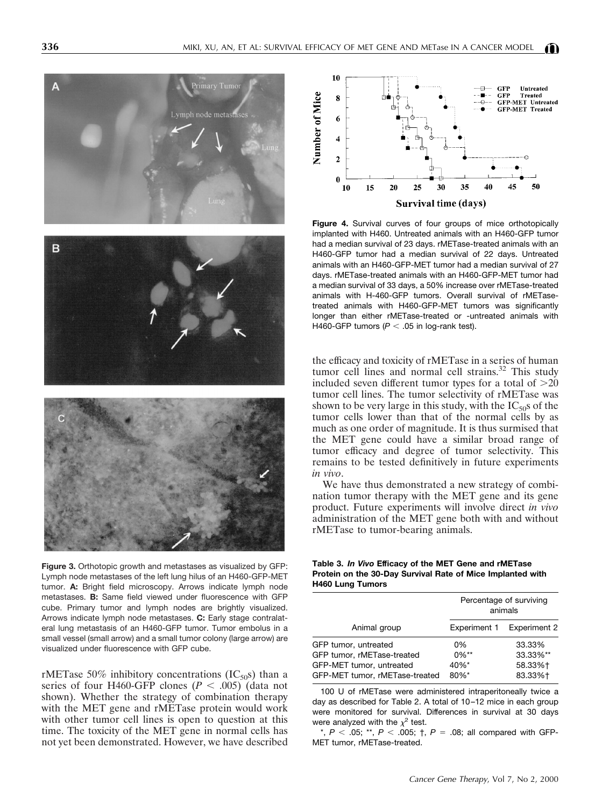

**Figure 3.** Orthotopic growth and metastases as visualized by GFP: Lymph node metastases of the left lung hilus of an H460-GFP-MET tumor. **A:** Bright field microscopy. Arrows indicate lymph node metastases. **B:** Same field viewed under fluorescence with GFP cube. Primary tumor and lymph nodes are brightly visualized. Arrows indicate lymph node metastases. **C:** Early stage contralateral lung metastasis of an H460-GFP tumor. Tumor embolus in a small vessel (small arrow) and a small tumor colony (large arrow) are visualized under fluorescence with GFP cube.

rMETase 50% inhibitory concentrations (IC<sub>50</sub>s) than a series of four H460-GFP clones ( $P < .005$ ) (data not shown). Whether the strategy of combination therapy with the MET gene and rMETase protein would work with other tumor cell lines is open to question at this time. The toxicity of the MET gene in normal cells has not yet been demonstrated. However, we have described



**Figure 4.** Survival curves of four groups of mice orthotopically implanted with H460. Untreated animals with an H460-GFP tumor had a median survival of 23 days. rMETase-treated animals with an H460-GFP tumor had a median survival of 22 days. Untreated animals with an H460-GFP-MET tumor had a median survival of 27 days. rMETase-treated animals with an H460-GFP-MET tumor had a median survival of 33 days, a 50% increase over rMETase-treated animals with H-460-GFP tumors. Overall survival of rMETasetreated animals with H460-GFP-MET tumors was significantly longer than either rMETase-treated or -untreated animals with H460-GFP tumors ( $P < .05$  in log-rank test).

the efficacy and toxicity of rMETase in a series of human tumor cell lines and normal cell strains.<sup>32</sup> This study included seven different tumor types for a total of  $>20$ tumor cell lines. The tumor selectivity of rMETase was shown to be very large in this study, with the  $IC_{50}$ s of the tumor cells lower than that of the normal cells by as much as one order of magnitude. It is thus surmised that the MET gene could have a similar broad range of tumor efficacy and degree of tumor selectivity. This remains to be tested definitively in future experiments *in vivo*.

We have thus demonstrated a new strategy of combination tumor therapy with the MET gene and its gene product. Future experiments will involve direct *in vivo* administration of the MET gene both with and without rMETase to tumor-bearing animals.

**Table 3.** *In Vivo* **Efficacy of the MET Gene and rMETase Protein on the 30-Day Survival Rate of Mice Implanted with H460 Lung Tumors**

|                                | Percentage of surviving<br>animals |                           |  |
|--------------------------------|------------------------------------|---------------------------|--|
| Animal group                   |                                    | Experiment 1 Experiment 2 |  |
| GFP tumor, untreated           | 0%                                 | 33.33%                    |  |
| GFP tumor, rMETase-treated     | $0\%**$                            | 33.33%**                  |  |
| GFP-MET tumor, untreated       | 40%*                               | 58.33%+                   |  |
| GFP-MET tumor, rMETase-treated | 80%*                               | 83.33%+                   |  |

100 U of rMETase were administered intraperitoneally twice a day as described for Table 2. A total of 10–12 mice in each group were monitored for survival. Differences in survival at 30 days were analyzed with the  $\chi^2$  test.

\*,  $P < .05$ ; \*\*,  $P < .005$ ;  $\dagger$ ,  $P = .08$ ; all compared with GFP-MET tumor, rMETase-treated.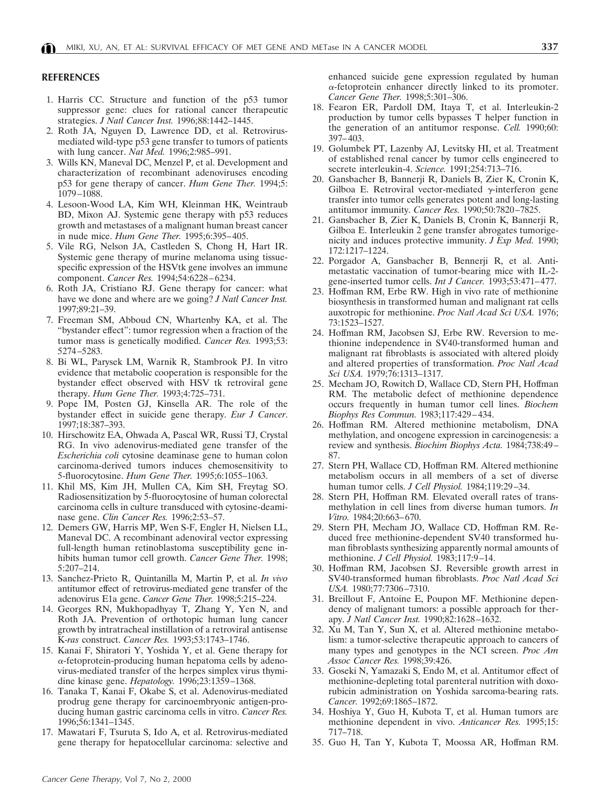## **REFERENCES**

- 1. Harris CC. Structure and function of the p53 tumor suppressor gene: clues for rational cancer therapeutic strategies. *J Natl Cancer Inst.* 1996;88:1442–1445.
- 2. Roth JA, Nguyen D, Lawrence DD, et al. Retrovirusmediated wild-type p53 gene transfer to tumors of patients with lung cancer. *Nat Med.* 1996;2:985–991.
- 3. Wills KN, Maneval DC, Menzel P, et al. Development and characterization of recombinant adenoviruses encoding p53 for gene therapy of cancer. *Hum Gene Ther.* 1994;5: 1079–1088.
- 4. Lesoon-Wood LA, Kim WH, Kleinman HK, Weintraub BD, Mixon AJ. Systemic gene therapy with p53 reduces growth and metastases of a malignant human breast cancer in nude mice. *Hum Gene Ther.* 1995;6:395–405.
- 5. Vile RG, Nelson JA, Castleden S, Chong H, Hart IR. Systemic gene therapy of murine melanoma using tissuespecific expression of the HSVtk gene involves an immune component. *Cancer Res.* 1994;54:6228–6234.
- 6. Roth JA, Cristiano RJ. Gene therapy for cancer: what have we done and where are we going? *J Natl Cancer Inst.* 1997;89:21–39.
- 7. Freeman SM, Abboud CN, Whartenby KA, et al. The "bystander effect": tumor regression when a fraction of the tumor mass is genetically modified. *Cancer Res.* 1993;53: 5274–5283.
- 8. Bi WL, Parysek LM, Warnik R, Stambrook PJ. In vitro evidence that metabolic cooperation is responsible for the bystander effect observed with HSV tk retroviral gene therapy. *Hum Gene Ther.* 1993;4:725–731.
- 9. Pope IM, Posten GJ, Kinsella AR. The role of the bystander effect in suicide gene therapy. *Eur J Cancer*. 1997;18:387–393.
- 10. Hirschowitz EA, Ohwada A, Pascal WR, Russi TJ, Crystal RG. In vivo adenovirus-mediated gene transfer of the *Escherichia coli* cytosine deaminase gene to human colon carcinoma-derived tumors induces chemosensitivity to 5-fluorocytosine. *Hum Gene Ther.* 1995;6:1055–1063.
- 11. Khil MS, Kim JH, Mullen CA, Kim SH, Freytag SO. Radiosensitization by 5-fluorocytosine of human colorectal carcinoma cells in culture transduced with cytosine-deaminase gene. *Clin Cancer Res.* 1996;2:53–57.
- 12. Demers GW, Harris MP, Wen S-F, Engler H, Nielsen LL, Maneval DC. A recombinant adenoviral vector expressing full-length human retinoblastoma susceptibility gene inhibits human tumor cell growth. *Cancer Gene Ther.* 1998; 5:207–214.
- 13. Sanchez-Prieto R, Quintanilla M, Martin P, et al. *In vivo* antitumor effect of retrovirus-mediated gene transfer of the adenovirus E1a gene. *Cancer Gene Ther.* 1998;5:215–224.
- 14. Georges RN, Mukhopadhyay T, Zhang Y, Yen N, and Roth JA. Prevention of orthotopic human lung cancer growth by intratracheal instillation of a retroviral antisense K-*ras* construct. *Cancer Res.* 1993;53:1743–1746.
- 15. Kanai F, Shiratori Y, Yoshida Y, et al. Gene therapy for  $\alpha$ -fetoprotein-producing human hepatoma cells by adenovirus-mediated transfer of the herpes simplex virus thymidine kinase gene. *Hepatology.* 1996;23:1359–1368.
- 16. Tanaka T, Kanai F, Okabe S, et al. Adenovirus-mediated prodrug gene therapy for carcinoembryonic antigen-producing human gastric carcinoma cells in vitro. *Cancer Res.* 1996;56:1341–1345.
- 17. Mawatari F, Tsuruta S, Ido A, et al. Retrovirus-mediated gene therapy for hepatocellular carcinoma: selective and

enhanced suicide gene expression regulated by human  $\alpha$ -fetoprotein enhancer directly linked to its promoter. *Cancer Gene Ther.* 1998;5:301–306.

- 18. Fearon ER, Pardoll DM, Itaya T, et al. Interleukin-2 production by tumor cells bypasses T helper function in the generation of an antitumor response. *Cell.* 1990;60: 397–403.
- 19. Golumbek PT, Lazenby AJ, Levitsky HI, et al. Treatment of established renal cancer by tumor cells engineered to secrete interleukin-4. *Science.* 1991;254:713–716.
- 20. Gansbacher B, Bannerji R, Daniels B, Zier K, Cronin K, Gilboa E. Retroviral vector-mediated  $\gamma$ -interferon gene transfer into tumor cells generates potent and long-lasting antitumor immunity. *Cancer Res.* 1990;50:7820–7825.
- 21. Gansbacher B, Zier K, Daniels B, Cronin K, Bannerji R, Gilboa E. Interleukin 2 gene transfer abrogates tumorigenicity and induces protective immunity. *J Exp Med.* 1990; 172:1217–1224.
- 22. Porgador A, Gansbacher B, Bennerji R, et al. Antimetastatic vaccination of tumor-bearing mice with IL-2 gene-inserted tumor cells. *Int J Cancer.* 1993;53:471–477.
- 23. Hoffman RM, Erbe RW. High in vivo rate of methionine biosynthesis in transformed human and malignant rat cells auxotropic for methionine. *Proc Natl Acad Sci USA.* 1976; 73:1523–1527.
- 24. Hoffman RM, Jacobsen SJ, Erbe RW. Reversion to methionine independence in SV40-transformed human and malignant rat fibroblasts is associated with altered ploidy and altered properties of transformation. *Proc Natl Acad Sci USA.* 1979;76:1313–1317.
- 25. Mecham JO, Rowitch D, Wallace CD, Stern PH, Hoffman RM. The metabolic defect of methionine dependence occurs frequently in human tumor cell lines. *Biochem Biophys Res Commun.* 1983;117:429–434.
- 26. Hoffman RM. Altered methionine metabolism, DNA methylation, and oncogene expression in carcinogenesis: a review and synthesis. *Biochim Biophys Acta.* 1984;738:49– 87.
- 27. Stern PH, Wallace CD, Hoffman RM. Altered methionine metabolism occurs in all members of a set of diverse human tumor cells. *J Cell Physiol.* 1984;119:29–34.
- 28. Stern PH, Hoffman RM. Elevated overall rates of transmethylation in cell lines from diverse human tumors. *In Vitro.* 1984;20:663–670.
- 29. Stern PH, Mecham JO, Wallace CD, Hoffman RM. Reduced free methionine-dependent SV40 transformed human fibroblasts synthesizing apparently normal amounts of methionine. *J Cell Physiol.* 1983;117:9–14.
- 30. Hoffman RM, Jacobsen SJ. Reversible growth arrest in SV40-transformed human fibroblasts. *Proc Natl Acad Sci USA.* 1980;77:7306–7310.
- 31. Breillout F, Antoine E, Poupon MF. Methionine dependency of malignant tumors: a possible approach for therapy. *J Natl Cancer Inst.* 1990;82:1628–1632.
- 32. Xu M, Tan Y, Sun X, et al. Altered methionine metabolism: a tumor-selective therapeutic approach to cancers of many types and genotypes in the NCI screen. *Proc Am Assoc Cancer Res.* 1998;39:426.
- 33. Goseki N, Yamazaki S, Endo M, et al. Antitumor effect of methionine-depleting total parenteral nutrition with doxorubicin administration on Yoshida sarcoma-bearing rats. *Cancer.* 1992;69:1865–1872.
- 34. Hoshiya Y, Guo H, Kubota T, et al. Human tumors are methionine dependent in vivo. *Anticancer Res.* 1995;15: 717–718.
- 35. Guo H, Tan Y, Kubota T, Moossa AR, Hoffman RM.